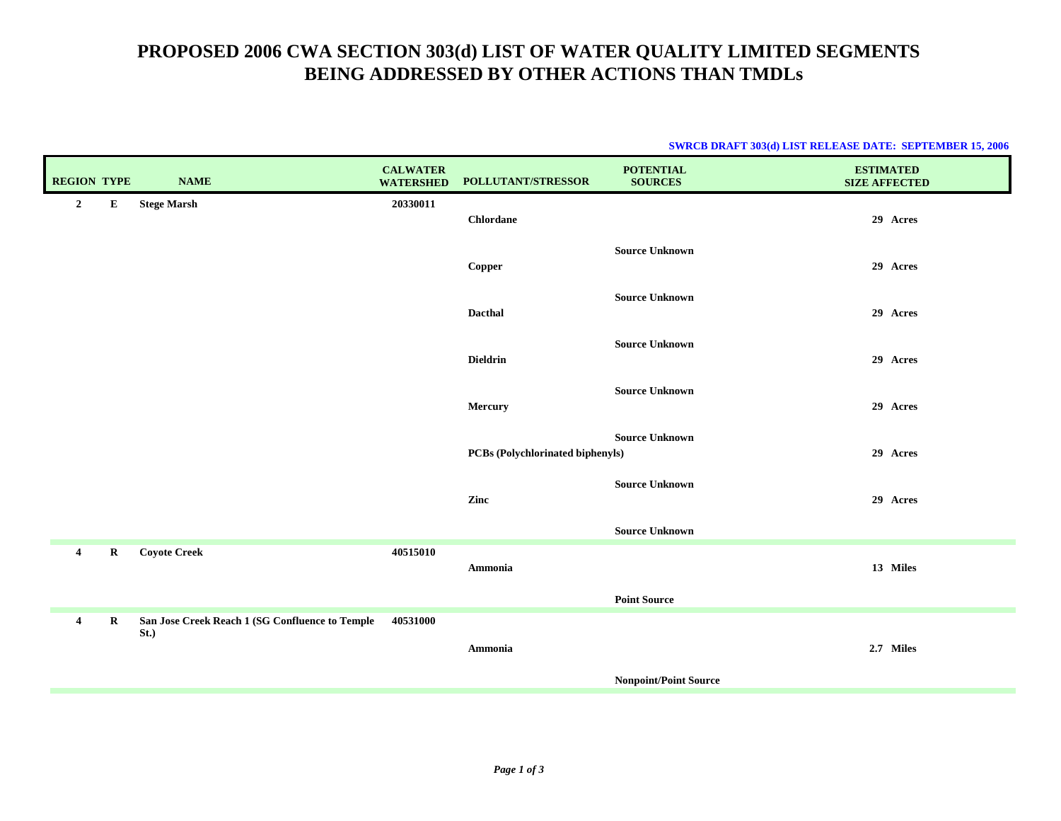# **PROPOSED 2006 CWA SECTION 303(d) LIST OF WATER QUALITY LIMITED SEGMENTS BEING ADDRESSED BY OTHER ACTIONS THAN TMDLs**

### **SWRCB DRAFT 303(d) LIST RELEASE DATE: SEPTEMBER 15, 2006**

| <b>REGION TYPE</b>      |             | <b>NAME</b>                                             | <b>CALWATER</b><br><b>WATERSHED</b> | POLLUTANT/STRESSOR                      | <b>POTENTIAL</b><br><b>SOURCES</b> | <b>ESTIMATED</b><br><b>SIZE AFFECTED</b> |
|-------------------------|-------------|---------------------------------------------------------|-------------------------------------|-----------------------------------------|------------------------------------|------------------------------------------|
| $\overline{2}$          | ${\bf E}$   | <b>Stege Marsh</b>                                      | 20330011                            | Chlordane                               |                                    | 29 Acres                                 |
|                         |             |                                                         |                                     | Copper                                  | <b>Source Unknown</b>              | 29 Acres                                 |
|                         |             |                                                         |                                     | Dacthal                                 | <b>Source Unknown</b>              | 29 Acres                                 |
|                         |             |                                                         |                                     | <b>Dieldrin</b>                         | <b>Source Unknown</b>              | 29 Acres                                 |
|                         |             |                                                         |                                     | Mercury                                 | <b>Source Unknown</b>              | 29 Acres                                 |
|                         |             |                                                         |                                     | <b>PCBs</b> (Polychlorinated biphenyls) | <b>Source Unknown</b>              | 29 Acres                                 |
|                         |             |                                                         |                                     | Zinc                                    | <b>Source Unknown</b>              | 29 Acres                                 |
|                         |             |                                                         |                                     |                                         | <b>Source Unknown</b>              |                                          |
| $\overline{4}$          | $\mathbf R$ | <b>Coyote Creek</b>                                     | 40515010                            | Ammonia                                 |                                    | 13 Miles                                 |
|                         |             |                                                         |                                     |                                         | <b>Point Source</b>                |                                          |
| $\overline{\mathbf{4}}$ | $\mathbf R$ | San Jose Creek Reach 1 (SG Confluence to Temple<br>St.) | 40531000                            | Ammonia                                 |                                    | 2.7 Miles                                |
|                         |             |                                                         |                                     |                                         | <b>Nonpoint/Point Source</b>       |                                          |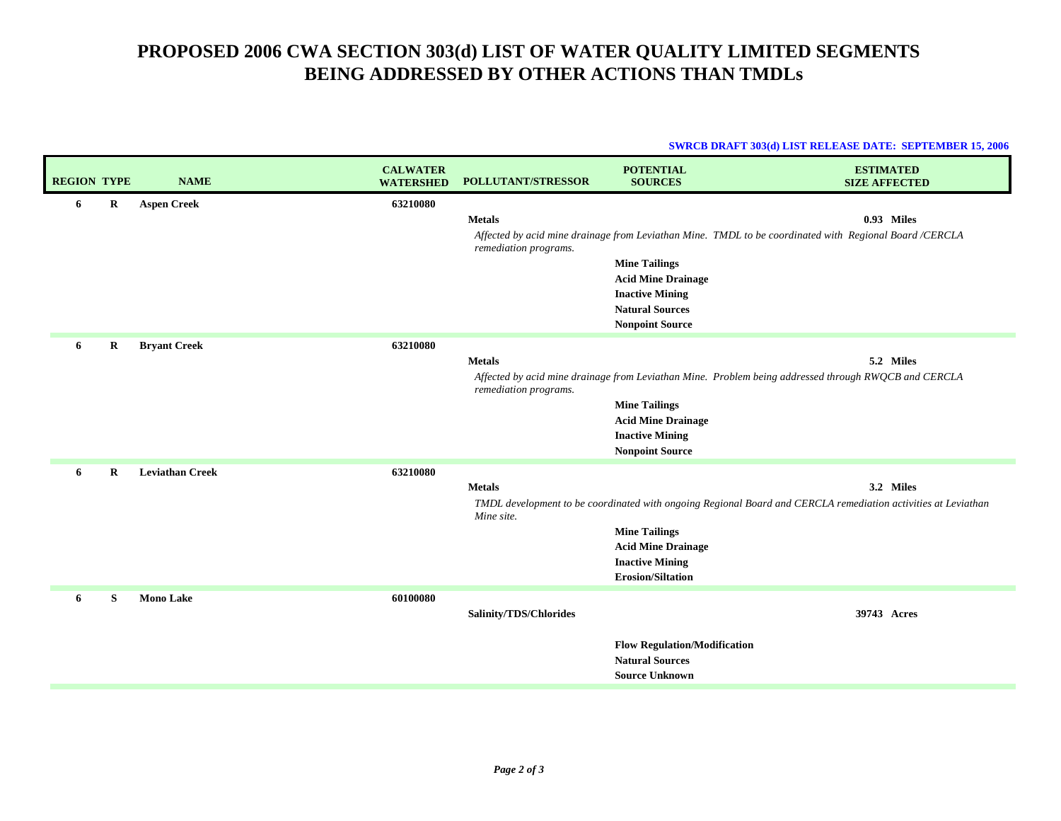# **PROPOSED 2006 CWA SECTION 303(d) LIST OF WATER QUALITY LIMITED SEGMENTS BEING ADDRESSED BY OTHER ACTIONS THAN TMDLs**

### **SWRCB DRAFT 303(d) LIST RELEASE DATE: SEPTEMBER 15, 2006**

| <b>REGION TYPE</b> |             | <b>NAME</b>            | <b>CALWATER</b><br><b>WATERSHED</b> | <b>POLLUTANT/STRESSOR</b>              | <b>POTENTIAL</b><br><b>SOURCES</b>                                                     | <b>ESTIMATED</b><br><b>SIZE AFFECTED</b>                                                                          |
|--------------------|-------------|------------------------|-------------------------------------|----------------------------------------|----------------------------------------------------------------------------------------|-------------------------------------------------------------------------------------------------------------------|
| 6                  | $\mathbf R$ | <b>Aspen Creek</b>     | 63210080                            | <b>Metals</b>                          |                                                                                        | 0.93 Miles                                                                                                        |
|                    |             |                        |                                     | remediation programs.                  |                                                                                        | Affected by acid mine drainage from Leviathan Mine. TMDL to be coordinated with Regional Board/CERCLA             |
|                    |             |                        |                                     |                                        | <b>Mine Tailings</b><br><b>Acid Mine Drainage</b>                                      |                                                                                                                   |
|                    |             |                        |                                     |                                        | <b>Inactive Mining</b>                                                                 |                                                                                                                   |
|                    |             |                        |                                     |                                        | <b>Natural Sources</b><br><b>Nonpoint Source</b>                                       |                                                                                                                   |
| 6                  | $\bf R$     | <b>Bryant Creek</b>    | 63210080                            |                                        |                                                                                        |                                                                                                                   |
|                    |             |                        |                                     | <b>Metals</b><br>remediation programs. |                                                                                        | 5.2 Miles<br>Affected by acid mine drainage from Leviathan Mine. Problem being addressed through RWQCB and CERCLA |
|                    |             |                        |                                     |                                        | <b>Mine Tailings</b><br><b>Acid Mine Drainage</b>                                      |                                                                                                                   |
|                    |             |                        |                                     |                                        | <b>Inactive Mining</b>                                                                 |                                                                                                                   |
|                    | $\bf{R}$    | <b>Leviathan Creek</b> | 63210080                            |                                        | <b>Nonpoint Source</b>                                                                 |                                                                                                                   |
| 6                  |             |                        |                                     | <b>Metals</b>                          |                                                                                        | 3.2 Miles                                                                                                         |
|                    |             |                        |                                     | Mine site.                             |                                                                                        | TMDL development to be coordinated with ongoing Regional Board and CERCLA remediation activities at Leviathan     |
|                    |             |                        |                                     |                                        | <b>Mine Tailings</b>                                                                   |                                                                                                                   |
|                    |             |                        |                                     |                                        | <b>Acid Mine Drainage</b><br><b>Inactive Mining</b>                                    |                                                                                                                   |
|                    |             |                        |                                     |                                        | <b>Erosion/Siltation</b>                                                               |                                                                                                                   |
| 6                  | S           | <b>Mono Lake</b>       | 60100080                            | Salinity/TDS/Chlorides                 |                                                                                        | 39743 Acres                                                                                                       |
|                    |             |                        |                                     |                                        | <b>Flow Regulation/Modification</b><br><b>Natural Sources</b><br><b>Source Unknown</b> |                                                                                                                   |
|                    |             |                        |                                     |                                        |                                                                                        |                                                                                                                   |